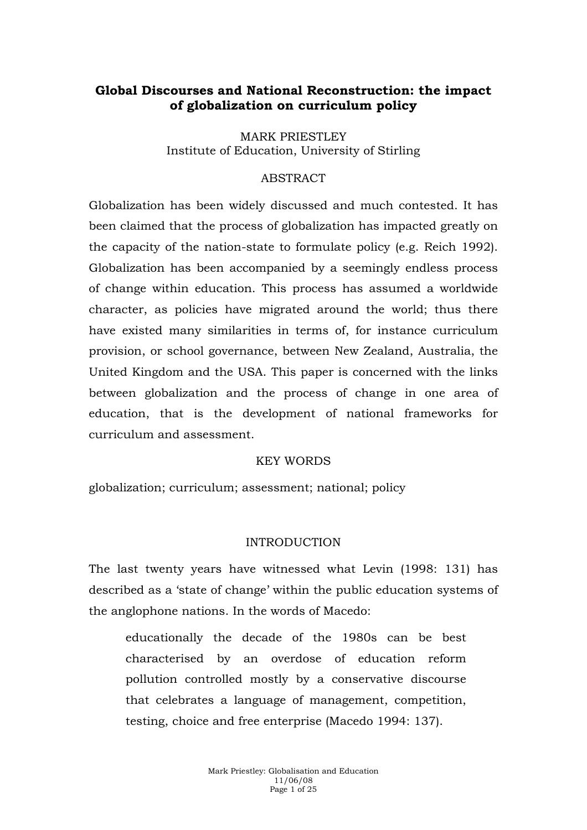# **Global Discourses and National Reconstruction: the impact of globalization on curriculum policy**

MARK PRIESTLEY Institute of Education, University of Stirling

## ABSTRACT

Globalization has been widely discussed and much contested. It has been claimed that the process of globalization has impacted greatly on the capacity of the nation-state to formulate policy (e.g. Reich 1992). Globalization has been accompanied by a seemingly endless process of change within education. This process has assumed a worldwide character, as policies have migrated around the world; thus there have existed many similarities in terms of, for instance curriculum provision, or school governance, between New Zealand, Australia, the United Kingdom and the USA. This paper is concerned with the links between globalization and the process of change in one area of education, that is the development of national frameworks for curriculum and assessment.

#### KEY WORDS

globalization; curriculum; assessment; national; policy

#### INTRODUCTION

The last twenty years have witnessed what Levin (1998: 131) has described as a 'state of change' within the public education systems of the anglophone nations. In the words of Macedo:

educationally the decade of the 1980s can be best characterised by an overdose of education reform pollution controlled mostly by a conservative discourse that celebrates a language of management, competition, testing, choice and free enterprise (Macedo 1994: 137).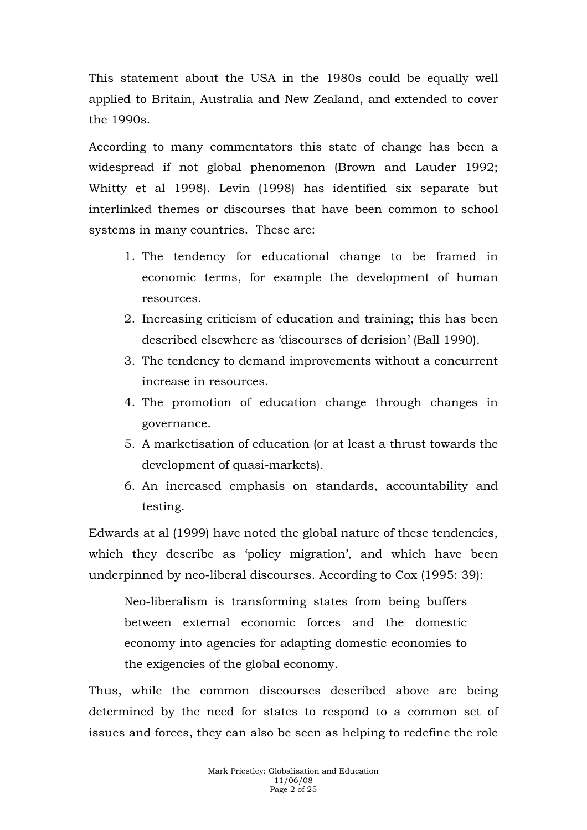This statement about the USA in the 1980s could be equally well applied to Britain, Australia and New Zealand, and extended to cover the 1990s.

According to many commentators this state of change has been a widespread if not global phenomenon (Brown and Lauder 1992; Whitty et al 1998). Levin (1998) has identified six separate but interlinked themes or discourses that have been common to school systems in many countries. These are:

- 1. The tendency for educational change to be framed in economic terms, for example the development of human resources.
- 2. Increasing criticism of education and training; this has been described elsewhere as 'discourses of derision' (Ball 1990).
- 3. The tendency to demand improvements without a concurrent increase in resources.
- 4. The promotion of education change through changes in governance.
- 5. A marketisation of education (or at least a thrust towards the development of quasi-markets).
- 6. An increased emphasis on standards, accountability and testing.

Edwards at al (1999) have noted the global nature of these tendencies, which they describe as 'policy migration', and which have been underpinned by neo-liberal discourses. According to Cox (1995: 39):

Neo-liberalism is transforming states from being buffers between external economic forces and the domestic economy into agencies for adapting domestic economies to the exigencies of the global economy.

Thus, while the common discourses described above are being determined by the need for states to respond to a common set of issues and forces, they can also be seen as helping to redefine the role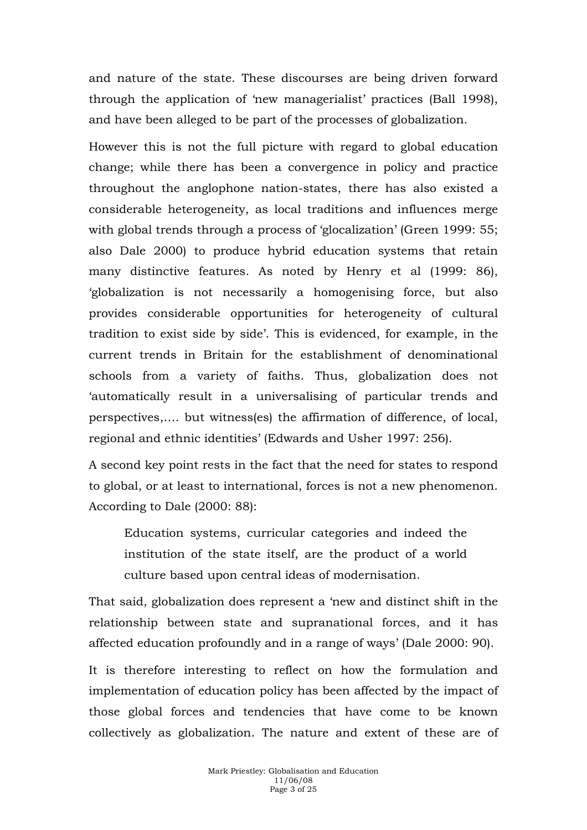and nature of the state. These discourses are being driven forward through the application of 'new managerialist' practices (Ball 1998), and have been alleged to be part of the processes of globalization.

However this is not the full picture with regard to global education change; while there has been a convergence in policy and practice throughout the anglophone nation-states, there has also existed a considerable heterogeneity, as local traditions and influences merge with global trends through a process of 'glocalization' (Green 1999: 55; also Dale 2000) to produce hybrid education systems that retain many distinctive features. As noted by Henry et al (1999: 86), 'globalization is not necessarily a homogenising force, but also provides considerable opportunities for heterogeneity of cultural tradition to exist side by side'. This is evidenced, for example, in the current trends in Britain for the establishment of denominational schools from a variety of faiths. Thus, globalization does not 'automatically result in a universalising of particular trends and perspectives,…. but witness(es) the affirmation of difference, of local, regional and ethnic identities' (Edwards and Usher 1997: 256).

A second key point rests in the fact that the need for states to respond to global, or at least to international, forces is not a new phenomenon. According to Dale (2000: 88):

Education systems, curricular categories and indeed the institution of the state itself, are the product of a world culture based upon central ideas of modernisation.

That said, globalization does represent a 'new and distinct shift in the relationship between state and supranational forces, and it has affected education profoundly and in a range of ways' (Dale 2000: 90).

It is therefore interesting to reflect on how the formulation and implementation of education policy has been affected by the impact of those global forces and tendencies that have come to be known collectively as globalization. The nature and extent of these are of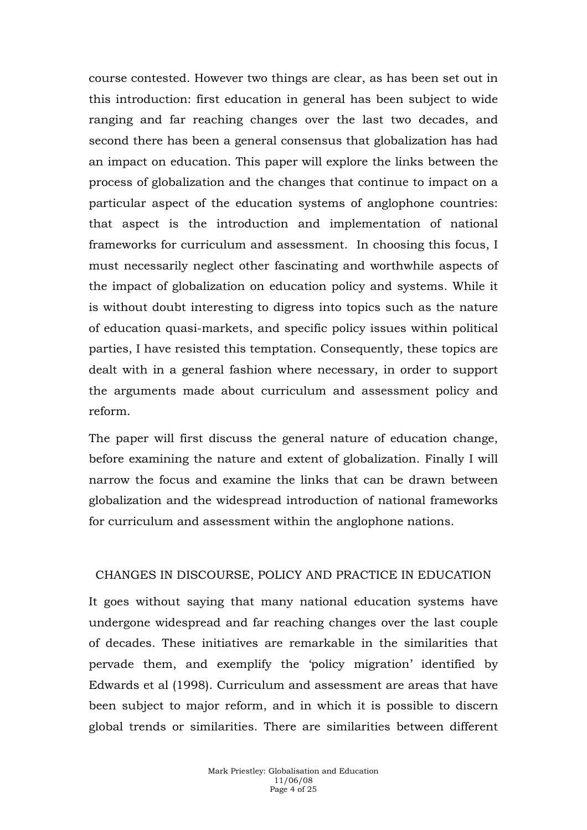course contested. However two things are clear, as has been set out in this introduction: first education in general has been subject to wide ranging and far reaching changes over the last two decades, and second there has been a general consensus that globalization has had an impact on education. This paper will explore the links between the process of globalization and the changes that continue to impact on a particular aspect of the education systems of anglophone countries: that aspect is the introduction and implementation of national frameworks for curriculum and assessment. In choosing this focus, I must necessarily neglect other fascinating and worthwhile aspects of the impact of globalization on education policy and systems. While it is without doubt interesting to digress into topics such as the nature of education quasi-markets, and specific policy issues within political parties, I have resisted this temptation. Consequently, these topics are dealt with in a general fashion where necessary, in order to support the arguments made about curriculum and assessment policy and reform.

The paper will first discuss the general nature of education change, before examining the nature and extent of globalization. Finally I will narrow the focus and examine the links that can be drawn between globalization and the widespread introduction of national frameworks for curriculum and assessment within the anglophone nations.

#### CHANGES IN DISCOURSE, POLICY AND PRACTICE IN EDUCATION

It goes without saying that many national education systems have undergone widespread and far reaching changes over the last couple of decades. These initiatives are remarkable in the similarities that pervade them, and exemplify the 'policy migration' identified by Edwards et al (1998). Curriculum and assessment are areas that have been subject to major reform, and in which it is possible to discern global trends or similarities. There are similarities between different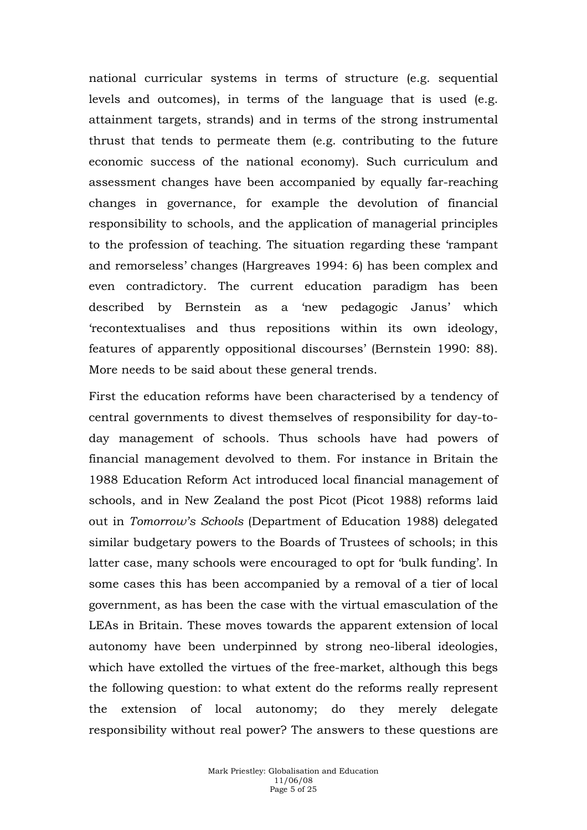national curricular systems in terms of structure (e.g. sequential levels and outcomes), in terms of the language that is used (e.g. attainment targets, strands) and in terms of the strong instrumental thrust that tends to permeate them (e.g. contributing to the future economic success of the national economy). Such curriculum and assessment changes have been accompanied by equally far-reaching changes in governance, for example the devolution of financial responsibility to schools, and the application of managerial principles to the profession of teaching. The situation regarding these 'rampant and remorseless' changes (Hargreaves 1994: 6) has been complex and even contradictory. The current education paradigm has been described by Bernstein as a 'new pedagogic Janus' which 'recontextualises and thus repositions within its own ideology, features of apparently oppositional discourses' (Bernstein 1990: 88). More needs to be said about these general trends.

First the education reforms have been characterised by a tendency of central governments to divest themselves of responsibility for day-today management of schools. Thus schools have had powers of financial management devolved to them. For instance in Britain the 1988 Education Reform Act introduced local financial management of schools, and in New Zealand the post Picot (Picot 1988) reforms laid out in *Tomorrow's Schools* (Department of Education 1988) delegated similar budgetary powers to the Boards of Trustees of schools; in this latter case, many schools were encouraged to opt for 'bulk funding'. In some cases this has been accompanied by a removal of a tier of local government, as has been the case with the virtual emasculation of the LEAs in Britain. These moves towards the apparent extension of local autonomy have been underpinned by strong neo-liberal ideologies, which have extolled the virtues of the free-market, although this begs the following question: to what extent do the reforms really represent the extension of local autonomy; do they merely delegate responsibility without real power? The answers to these questions are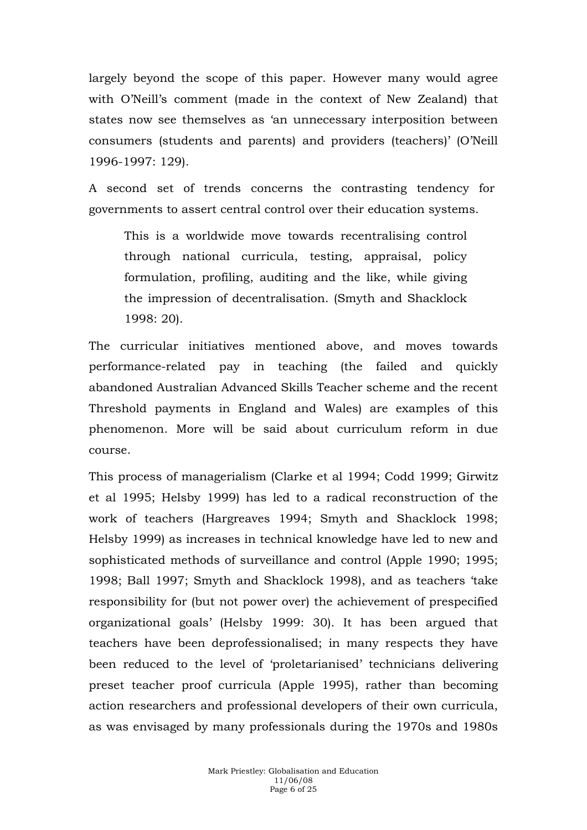largely beyond the scope of this paper. However many would agree with O'Neill's comment (made in the context of New Zealand) that states now see themselves as 'an unnecessary interposition between consumers (students and parents) and providers (teachers)' (O'Neill 1996-1997: 129).

A second set of trends concerns the contrasting tendency for governments to assert central control over their education systems.

This is a worldwide move towards recentralising control through national curricula, testing, appraisal, policy formulation, profiling, auditing and the like, while giving the impression of decentralisation. (Smyth and Shacklock 1998: 20).

The curricular initiatives mentioned above, and moves towards performance-related pay in teaching (the failed and quickly abandoned Australian Advanced Skills Teacher scheme and the recent Threshold payments in England and Wales) are examples of this phenomenon. More will be said about curriculum reform in due course.

This process of managerialism (Clarke et al 1994; Codd 1999; Girwitz et al 1995; Helsby 1999) has led to a radical reconstruction of the work of teachers (Hargreaves 1994; Smyth and Shacklock 1998; Helsby 1999) as increases in technical knowledge have led to new and sophisticated methods of surveillance and control (Apple 1990; 1995; 1998; Ball 1997; Smyth and Shacklock 1998), and as teachers 'take responsibility for (but not power over) the achievement of prespecified organizational goals' (Helsby 1999: 30). It has been argued that teachers have been deprofessionalised; in many respects they have been reduced to the level of 'proletarianised' technicians delivering preset teacher proof curricula (Apple 1995), rather than becoming action researchers and professional developers of their own curricula, as was envisaged by many professionals during the 1970s and 1980s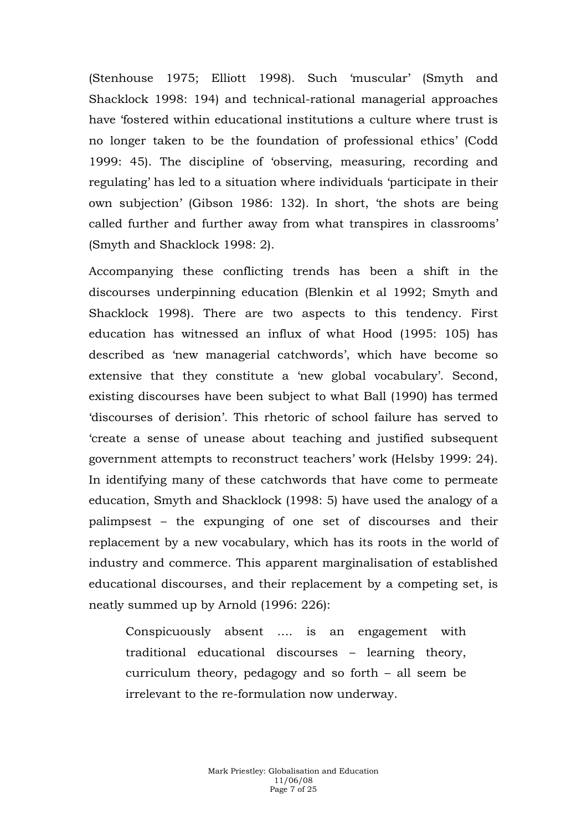(Stenhouse 1975; Elliott 1998). Such 'muscular' (Smyth and Shacklock 1998: 194) and technical-rational managerial approaches have 'fostered within educational institutions a culture where trust is no longer taken to be the foundation of professional ethics' (Codd 1999: 45). The discipline of 'observing, measuring, recording and regulating' has led to a situation where individuals 'participate in their own subjection' (Gibson 1986: 132). In short, 'the shots are being called further and further away from what transpires in classrooms' (Smyth and Shacklock 1998: 2).

Accompanying these conflicting trends has been a shift in the discourses underpinning education (Blenkin et al 1992; Smyth and Shacklock 1998). There are two aspects to this tendency. First education has witnessed an influx of what Hood (1995: 105) has described as 'new managerial catchwords', which have become so extensive that they constitute a 'new global vocabulary'. Second, existing discourses have been subject to what Ball (1990) has termed 'discourses of derision'. This rhetoric of school failure has served to 'create a sense of unease about teaching and justified subsequent government attempts to reconstruct teachers' work (Helsby 1999: 24). In identifying many of these catchwords that have come to permeate education, Smyth and Shacklock (1998: 5) have used the analogy of a palimpsest – the expunging of one set of discourses and their replacement by a new vocabulary, which has its roots in the world of industry and commerce. This apparent marginalisation of established educational discourses, and their replacement by a competing set, is neatly summed up by Arnold (1996: 226):

Conspicuously absent …. is an engagement with traditional educational discourses – learning theory, curriculum theory, pedagogy and so forth – all seem be irrelevant to the re-formulation now underway.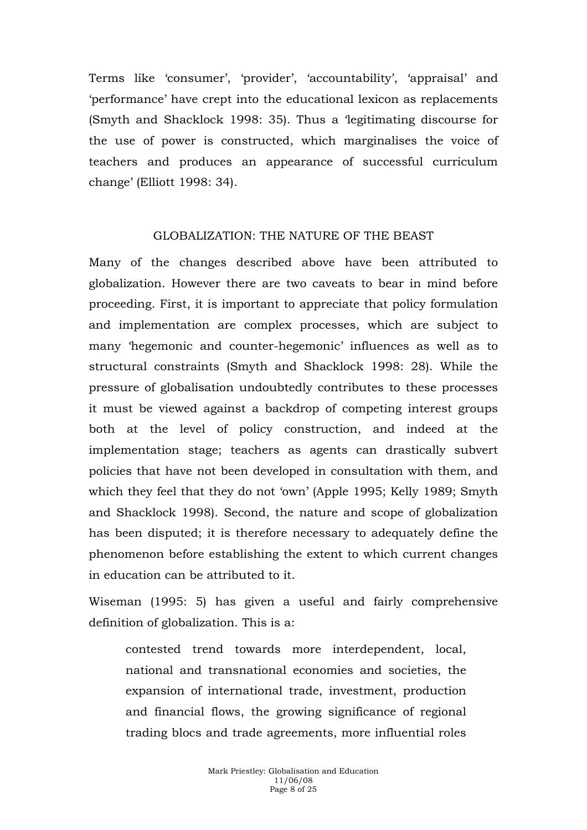Terms like 'consumer', 'provider', 'accountability', 'appraisal' and 'performance' have crept into the educational lexicon as replacements (Smyth and Shacklock 1998: 35). Thus a 'legitimating discourse for the use of power is constructed, which marginalises the voice of teachers and produces an appearance of successful curriculum change' (Elliott 1998: 34).

#### GLOBALIZATION: THE NATURE OF THE BEAST

Many of the changes described above have been attributed to globalization. However there are two caveats to bear in mind before proceeding. First, it is important to appreciate that policy formulation and implementation are complex processes, which are subject to many 'hegemonic and counter-hegemonic' influences as well as to structural constraints (Smyth and Shacklock 1998: 28). While the pressure of globalisation undoubtedly contributes to these processes it must be viewed against a backdrop of competing interest groups both at the level of policy construction, and indeed at the implementation stage; teachers as agents can drastically subvert policies that have not been developed in consultation with them, and which they feel that they do not 'own' (Apple 1995; Kelly 1989; Smyth and Shacklock 1998). Second, the nature and scope of globalization has been disputed; it is therefore necessary to adequately define the phenomenon before establishing the extent to which current changes in education can be attributed to it.

Wiseman (1995: 5) has given a useful and fairly comprehensive definition of globalization. This is a:

contested trend towards more interdependent, local, national and transnational economies and societies, the expansion of international trade, investment, production and financial flows, the growing significance of regional trading blocs and trade agreements, more influential roles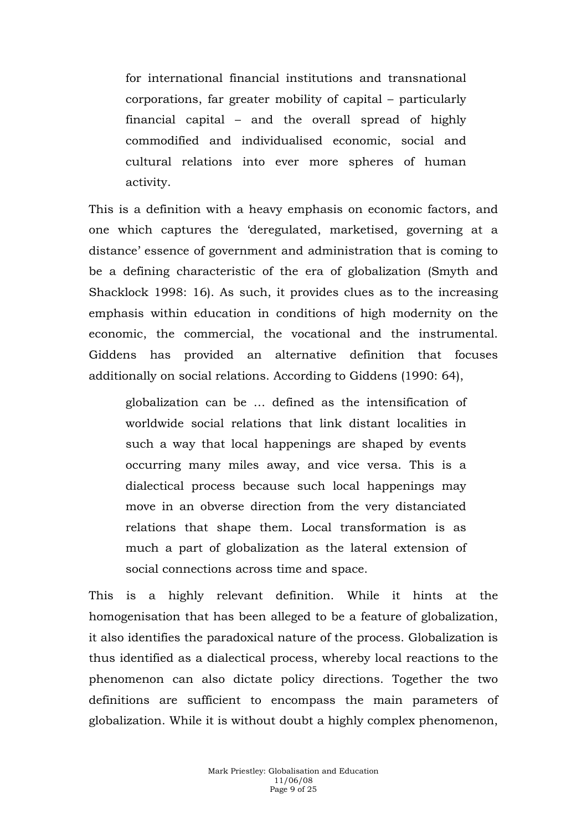for international financial institutions and transnational corporations, far greater mobility of capital – particularly financial capital – and the overall spread of highly commodified and individualised economic, social and cultural relations into ever more spheres of human activity.

This is a definition with a heavy emphasis on economic factors, and one which captures the 'deregulated, marketised, governing at a distance' essence of government and administration that is coming to be a defining characteristic of the era of globalization (Smyth and Shacklock 1998: 16). As such, it provides clues as to the increasing emphasis within education in conditions of high modernity on the economic, the commercial, the vocational and the instrumental. Giddens has provided an alternative definition that focuses additionally on social relations. According to Giddens (1990: 64),

globalization can be … defined as the intensification of worldwide social relations that link distant localities in such a way that local happenings are shaped by events occurring many miles away, and vice versa. This is a dialectical process because such local happenings may move in an obverse direction from the very distanciated relations that shape them. Local transformation is as much a part of globalization as the lateral extension of social connections across time and space.

This is a highly relevant definition. While it hints at the homogenisation that has been alleged to be a feature of globalization, it also identifies the paradoxical nature of the process. Globalization is thus identified as a dialectical process, whereby local reactions to the phenomenon can also dictate policy directions. Together the two definitions are sufficient to encompass the main parameters of globalization. While it is without doubt a highly complex phenomenon,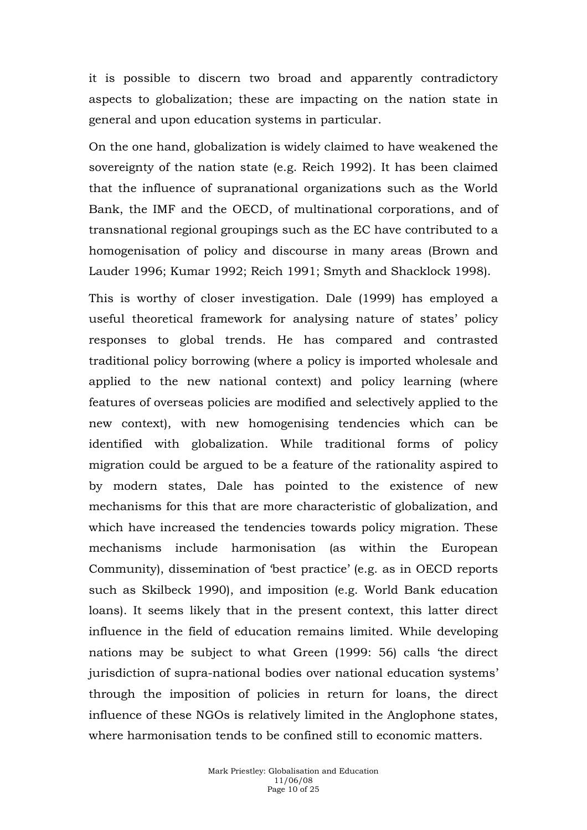it is possible to discern two broad and apparently contradictory aspects to globalization; these are impacting on the nation state in general and upon education systems in particular.

On the one hand, globalization is widely claimed to have weakened the sovereignty of the nation state (e.g. Reich 1992). It has been claimed that the influence of supranational organizations such as the World Bank, the IMF and the OECD, of multinational corporations, and of transnational regional groupings such as the EC have contributed to a homogenisation of policy and discourse in many areas (Brown and Lauder 1996; Kumar 1992; Reich 1991; Smyth and Shacklock 1998).

This is worthy of closer investigation. Dale (1999) has employed a useful theoretical framework for analysing nature of states' policy responses to global trends. He has compared and contrasted traditional policy borrowing (where a policy is imported wholesale and applied to the new national context) and policy learning (where features of overseas policies are modified and selectively applied to the new context), with new homogenising tendencies which can be identified with globalization. While traditional forms of policy migration could be argued to be a feature of the rationality aspired to by modern states, Dale has pointed to the existence of new mechanisms for this that are more characteristic of globalization, and which have increased the tendencies towards policy migration. These mechanisms include harmonisation (as within the European Community), dissemination of 'best practice' (e.g. as in OECD reports such as Skilbeck 1990), and imposition (e.g. World Bank education loans). It seems likely that in the present context, this latter direct influence in the field of education remains limited. While developing nations may be subject to what Green (1999: 56) calls 'the direct jurisdiction of supra-national bodies over national education systems' through the imposition of policies in return for loans, the direct influence of these NGOs is relatively limited in the Anglophone states, where harmonisation tends to be confined still to economic matters.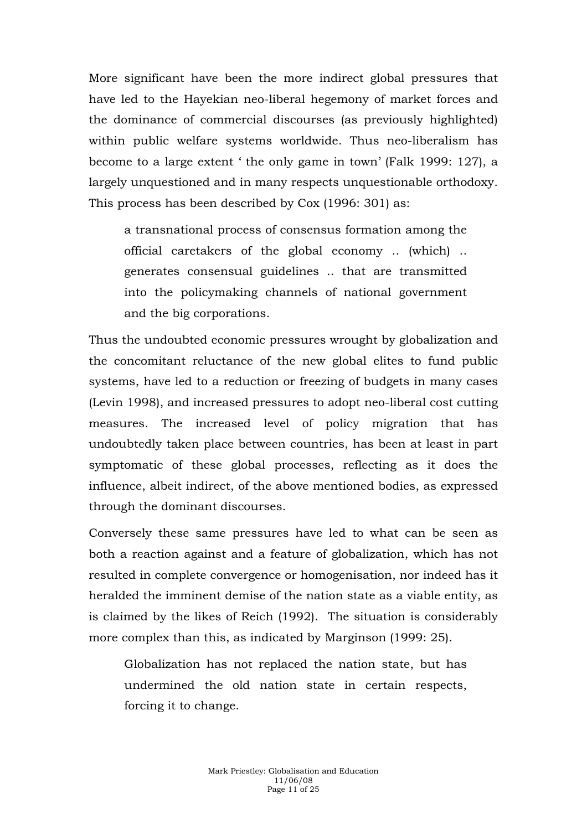More significant have been the more indirect global pressures that have led to the Hayekian neo-liberal hegemony of market forces and the dominance of commercial discourses (as previously highlighted) within public welfare systems worldwide. Thus neo-liberalism has become to a large extent ' the only game in town' (Falk 1999: 127), a largely unquestioned and in many respects unquestionable orthodoxy. This process has been described by Cox (1996: 301) as:

a transnational process of consensus formation among the official caretakers of the global economy .. (which) .. generates consensual guidelines .. that are transmitted into the policymaking channels of national government and the big corporations.

Thus the undoubted economic pressures wrought by globalization and the concomitant reluctance of the new global elites to fund public systems, have led to a reduction or freezing of budgets in many cases (Levin 1998), and increased pressures to adopt neo-liberal cost cutting measures. The increased level of policy migration that has undoubtedly taken place between countries, has been at least in part symptomatic of these global processes, reflecting as it does the influence, albeit indirect, of the above mentioned bodies, as expressed through the dominant discourses.

Conversely these same pressures have led to what can be seen as both a reaction against and a feature of globalization, which has not resulted in complete convergence or homogenisation, nor indeed has it heralded the imminent demise of the nation state as a viable entity, as is claimed by the likes of Reich (1992). The situation is considerably more complex than this, as indicated by Marginson (1999: 25).

Globalization has not replaced the nation state, but has undermined the old nation state in certain respects, forcing it to change.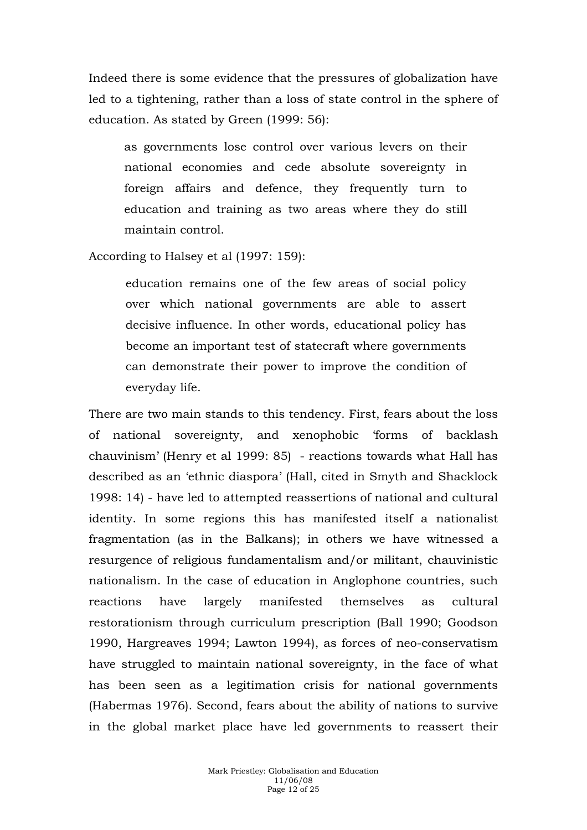Indeed there is some evidence that the pressures of globalization have led to a tightening, rather than a loss of state control in the sphere of education. As stated by Green (1999: 56):

as governments lose control over various levers on their national economies and cede absolute sovereignty in foreign affairs and defence, they frequently turn to education and training as two areas where they do still maintain control.

According to Halsey et al (1997: 159):

education remains one of the few areas of social policy over which national governments are able to assert decisive influence. In other words, educational policy has become an important test of statecraft where governments can demonstrate their power to improve the condition of everyday life.

There are two main stands to this tendency. First, fears about the loss of national sovereignty, and xenophobic 'forms of backlash chauvinism' (Henry et al 1999: 85) - reactions towards what Hall has described as an 'ethnic diaspora' (Hall, cited in Smyth and Shacklock 1998: 14) - have led to attempted reassertions of national and cultural identity. In some regions this has manifested itself a nationalist fragmentation (as in the Balkans); in others we have witnessed a resurgence of religious fundamentalism and/or militant, chauvinistic nationalism. In the case of education in Anglophone countries, such reactions have largely manifested themselves as cultural restorationism through curriculum prescription (Ball 1990; Goodson 1990, Hargreaves 1994; Lawton 1994), as forces of neo-conservatism have struggled to maintain national sovereignty, in the face of what has been seen as a legitimation crisis for national governments (Habermas 1976). Second, fears about the ability of nations to survive in the global market place have led governments to reassert their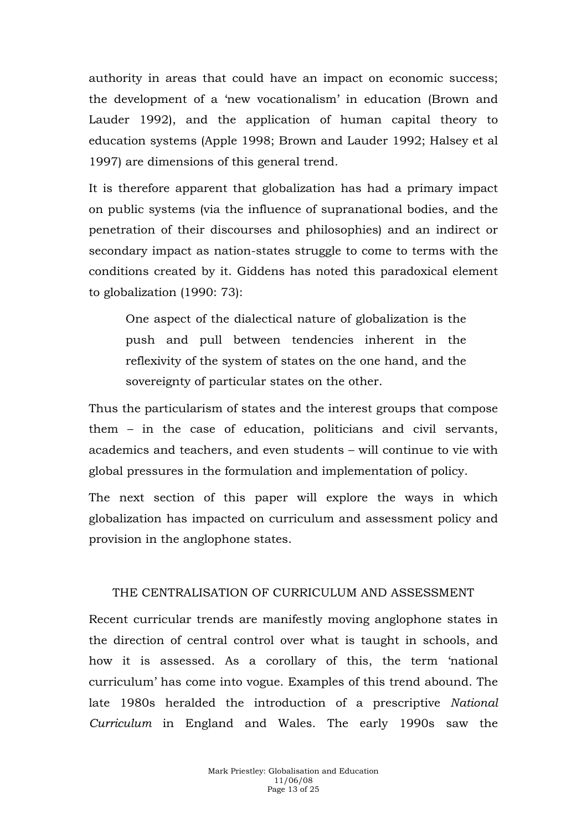authority in areas that could have an impact on economic success; the development of a 'new vocationalism' in education (Brown and Lauder 1992), and the application of human capital theory to education systems (Apple 1998; Brown and Lauder 1992; Halsey et al 1997) are dimensions of this general trend.

It is therefore apparent that globalization has had a primary impact on public systems (via the influence of supranational bodies, and the penetration of their discourses and philosophies) and an indirect or secondary impact as nation-states struggle to come to terms with the conditions created by it. Giddens has noted this paradoxical element to globalization (1990: 73):

One aspect of the dialectical nature of globalization is the push and pull between tendencies inherent in the reflexivity of the system of states on the one hand, and the sovereignty of particular states on the other.

Thus the particularism of states and the interest groups that compose them – in the case of education, politicians and civil servants, academics and teachers, and even students – will continue to vie with global pressures in the formulation and implementation of policy.

The next section of this paper will explore the ways in which globalization has impacted on curriculum and assessment policy and provision in the anglophone states.

### THE CENTRALISATION OF CURRICULUM AND ASSESSMENT

Recent curricular trends are manifestly moving anglophone states in the direction of central control over what is taught in schools, and how it is assessed. As a corollary of this, the term 'national curriculum' has come into vogue. Examples of this trend abound. The late 1980s heralded the introduction of a prescriptive *National Curriculum* in England and Wales. The early 1990s saw the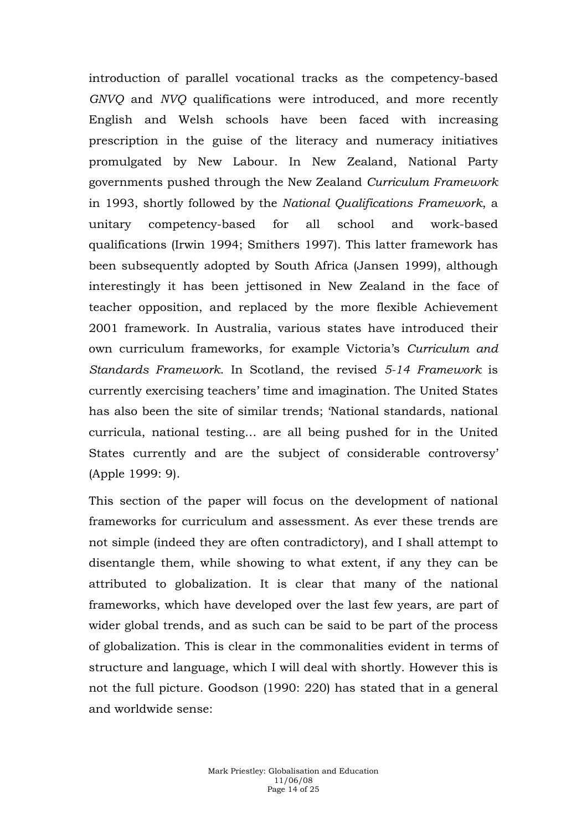introduction of parallel vocational tracks as the competency-based *GNVQ* and *NVQ* qualifications were introduced, and more recently English and Welsh schools have been faced with increasing prescription in the guise of the literacy and numeracy initiatives promulgated by New Labour. In New Zealand, National Party governments pushed through the New Zealand *Curriculum Framework* in 1993, shortly followed by the *National Qualifications Framework*, a unitary competency-based for all school and work-based qualifications (Irwin 1994; Smithers 1997). This latter framework has been subsequently adopted by South Africa (Jansen 1999), although interestingly it has been jettisoned in New Zealand in the face of teacher opposition, and replaced by the more flexible Achievement 2001 framework. In Australia, various states have introduced their own curriculum frameworks, for example Victoria's *Curriculum and Standards Framework*. In Scotland, the revised *5-14 Framework* is currently exercising teachers' time and imagination. The United States has also been the site of similar trends; 'National standards, national curricula, national testing… are all being pushed for in the United States currently and are the subject of considerable controversy' (Apple 1999: 9).

This section of the paper will focus on the development of national frameworks for curriculum and assessment. As ever these trends are not simple (indeed they are often contradictory), and I shall attempt to disentangle them, while showing to what extent, if any they can be attributed to globalization. It is clear that many of the national frameworks, which have developed over the last few years, are part of wider global trends, and as such can be said to be part of the process of globalization. This is clear in the commonalities evident in terms of structure and language, which I will deal with shortly. However this is not the full picture. Goodson (1990: 220) has stated that in a general and worldwide sense: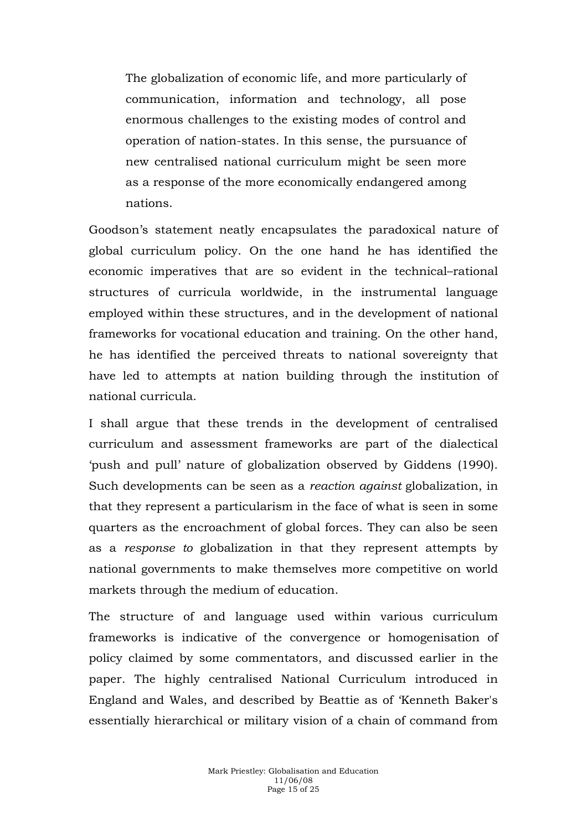The globalization of economic life, and more particularly of communication, information and technology, all pose enormous challenges to the existing modes of control and operation of nation-states. In this sense, the pursuance of new centralised national curriculum might be seen more as a response of the more economically endangered among nations.

Goodson's statement neatly encapsulates the paradoxical nature of global curriculum policy. On the one hand he has identified the economic imperatives that are so evident in the technical–rational structures of curricula worldwide, in the instrumental language employed within these structures, and in the development of national frameworks for vocational education and training. On the other hand, he has identified the perceived threats to national sovereignty that have led to attempts at nation building through the institution of national curricula.

I shall argue that these trends in the development of centralised curriculum and assessment frameworks are part of the dialectical 'push and pull' nature of globalization observed by Giddens (1990). Such developments can be seen as a *reaction against* globalization, in that they represent a particularism in the face of what is seen in some quarters as the encroachment of global forces. They can also be seen as a *response to* globalization in that they represent attempts by national governments to make themselves more competitive on world markets through the medium of education.

The structure of and language used within various curriculum frameworks is indicative of the convergence or homogenisation of policy claimed by some commentators, and discussed earlier in the paper. The highly centralised National Curriculum introduced in England and Wales, and described by Beattie as of 'Kenneth Baker's essentially hierarchical or military vision of a chain of command from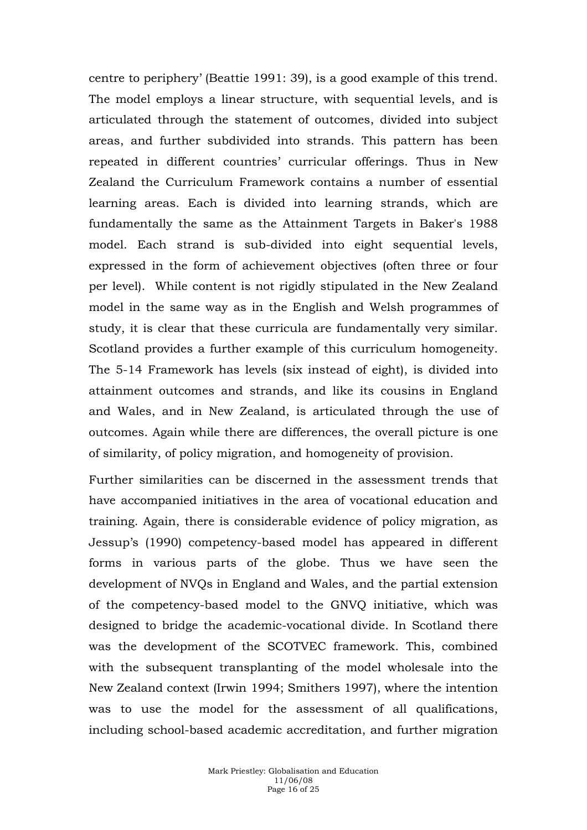centre to periphery' (Beattie 1991: 39), is a good example of this trend. The model employs a linear structure, with sequential levels, and is articulated through the statement of outcomes, divided into subject areas, and further subdivided into strands. This pattern has been repeated in different countries' curricular offerings. Thus in New Zealand the Curriculum Framework contains a number of essential learning areas. Each is divided into learning strands, which are fundamentally the same as the Attainment Targets in Baker's 1988 model. Each strand is sub-divided into eight sequential levels, expressed in the form of achievement objectives (often three or four per level). While content is not rigidly stipulated in the New Zealand model in the same way as in the English and Welsh programmes of study, it is clear that these curricula are fundamentally very similar. Scotland provides a further example of this curriculum homogeneity. The 5-14 Framework has levels (six instead of eight), is divided into attainment outcomes and strands, and like its cousins in England and Wales, and in New Zealand, is articulated through the use of outcomes. Again while there are differences, the overall picture is one of similarity, of policy migration, and homogeneity of provision.

Further similarities can be discerned in the assessment trends that have accompanied initiatives in the area of vocational education and training. Again, there is considerable evidence of policy migration, as Jessup's (1990) competency-based model has appeared in different forms in various parts of the globe. Thus we have seen the development of NVQs in England and Wales, and the partial extension of the competency-based model to the GNVQ initiative, which was designed to bridge the academic-vocational divide. In Scotland there was the development of the SCOTVEC framework. This, combined with the subsequent transplanting of the model wholesale into the New Zealand context (Irwin 1994; Smithers 1997), where the intention was to use the model for the assessment of all qualifications, including school-based academic accreditation, and further migration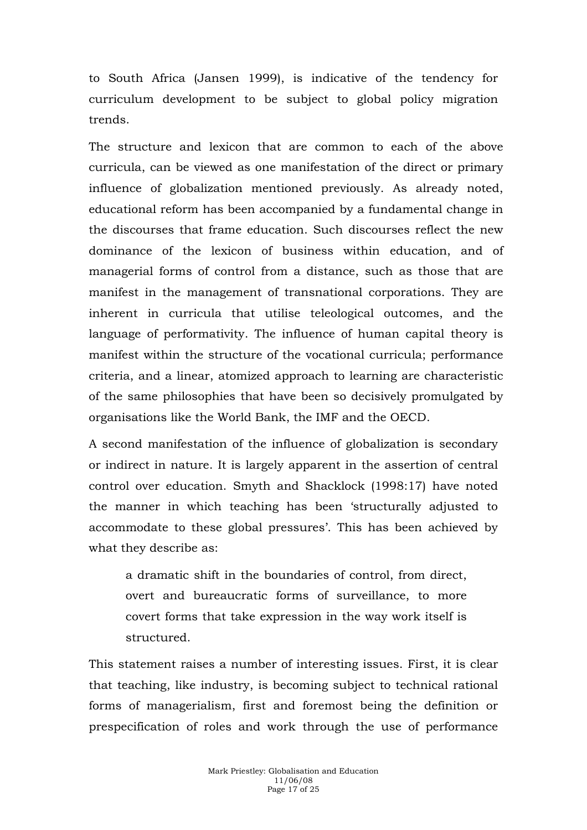to South Africa (Jansen 1999), is indicative of the tendency for curriculum development to be subject to global policy migration trends.

The structure and lexicon that are common to each of the above curricula, can be viewed as one manifestation of the direct or primary influence of globalization mentioned previously. As already noted, educational reform has been accompanied by a fundamental change in the discourses that frame education. Such discourses reflect the new dominance of the lexicon of business within education, and of managerial forms of control from a distance, such as those that are manifest in the management of transnational corporations. They are inherent in curricula that utilise teleological outcomes, and the language of performativity. The influence of human capital theory is manifest within the structure of the vocational curricula; performance criteria, and a linear, atomized approach to learning are characteristic of the same philosophies that have been so decisively promulgated by organisations like the World Bank, the IMF and the OECD.

A second manifestation of the influence of globalization is secondary or indirect in nature. It is largely apparent in the assertion of central control over education. Smyth and Shacklock (1998:17) have noted the manner in which teaching has been 'structurally adjusted to accommodate to these global pressures'. This has been achieved by what they describe as:

a dramatic shift in the boundaries of control, from direct, overt and bureaucratic forms of surveillance, to more covert forms that take expression in the way work itself is structured.

This statement raises a number of interesting issues. First, it is clear that teaching, like industry, is becoming subject to technical rational forms of managerialism, first and foremost being the definition or prespecification of roles and work through the use of performance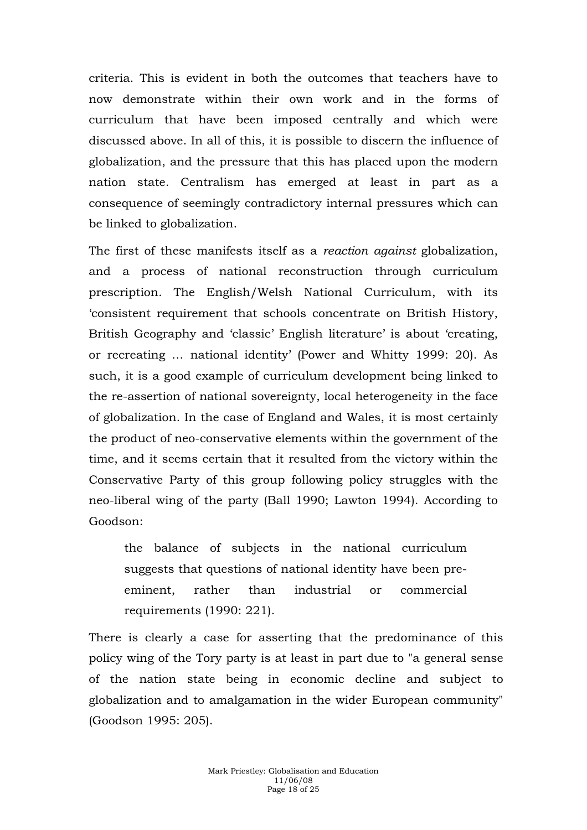criteria. This is evident in both the outcomes that teachers have to now demonstrate within their own work and in the forms of curriculum that have been imposed centrally and which were discussed above. In all of this, it is possible to discern the influence of globalization, and the pressure that this has placed upon the modern nation state. Centralism has emerged at least in part as a consequence of seemingly contradictory internal pressures which can be linked to globalization.

The first of these manifests itself as a *reaction against* globalization, and a process of national reconstruction through curriculum prescription. The English/Welsh National Curriculum, with its 'consistent requirement that schools concentrate on British History, British Geography and 'classic' English literature' is about 'creating, or recreating … national identity' (Power and Whitty 1999: 20). As such, it is a good example of curriculum development being linked to the re-assertion of national sovereignty, local heterogeneity in the face of globalization. In the case of England and Wales, it is most certainly the product of neo-conservative elements within the government of the time, and it seems certain that it resulted from the victory within the Conservative Party of this group following policy struggles with the neo-liberal wing of the party (Ball 1990; Lawton 1994). According to Goodson:

the balance of subjects in the national curriculum suggests that questions of national identity have been preeminent, rather than industrial or commercial requirements (1990: 221).

There is clearly a case for asserting that the predominance of this policy wing of the Tory party is at least in part due to "a general sense of the nation state being in economic decline and subject to globalization and to amalgamation in the wider European community" (Goodson 1995: 205).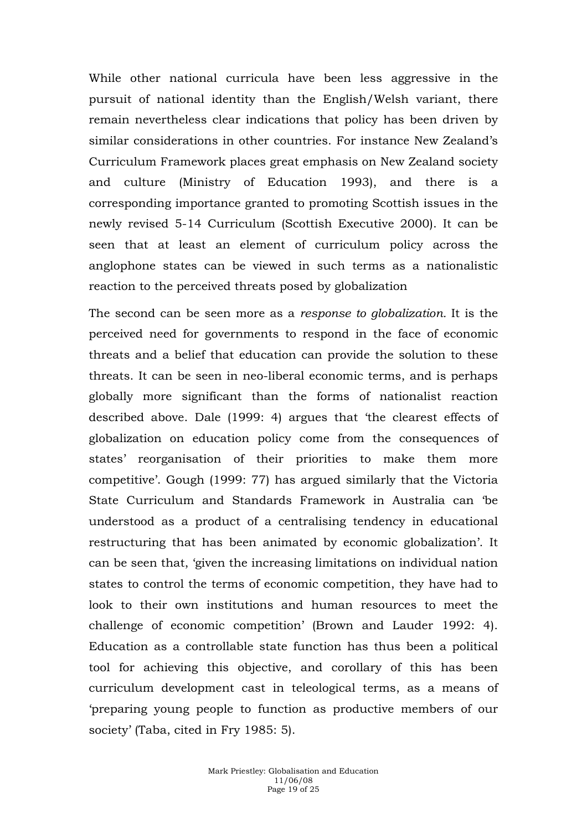While other national curricula have been less aggressive in the pursuit of national identity than the English/Welsh variant, there remain nevertheless clear indications that policy has been driven by similar considerations in other countries. For instance New Zealand's Curriculum Framework places great emphasis on New Zealand society and culture (Ministry of Education 1993), and there is a corresponding importance granted to promoting Scottish issues in the newly revised 5-14 Curriculum (Scottish Executive 2000). It can be seen that at least an element of curriculum policy across the anglophone states can be viewed in such terms as a nationalistic reaction to the perceived threats posed by globalization

The second can be seen more as a *response to globalization.* It is the perceived need for governments to respond in the face of economic threats and a belief that education can provide the solution to these threats. It can be seen in neo-liberal economic terms, and is perhaps globally more significant than the forms of nationalist reaction described above. Dale (1999: 4) argues that 'the clearest effects of globalization on education policy come from the consequences of states' reorganisation of their priorities to make them more competitive'. Gough (1999: 77) has argued similarly that the Victoria State Curriculum and Standards Framework in Australia can 'be understood as a product of a centralising tendency in educational restructuring that has been animated by economic globalization'. It can be seen that, 'given the increasing limitations on individual nation states to control the terms of economic competition, they have had to look to their own institutions and human resources to meet the challenge of economic competition' (Brown and Lauder 1992: 4). Education as a controllable state function has thus been a political tool for achieving this objective, and corollary of this has been curriculum development cast in teleological terms, as a means of 'preparing young people to function as productive members of our society' (Taba, cited in Fry 1985: 5).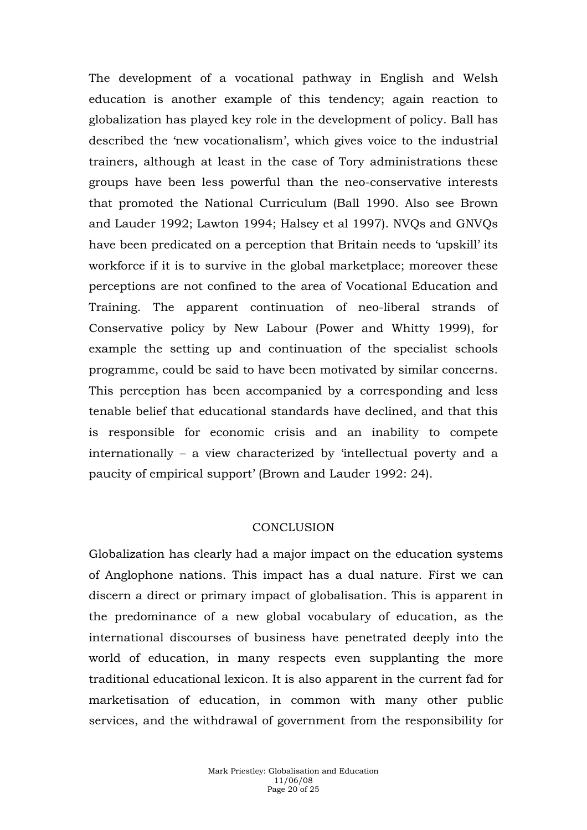The development of a vocational pathway in English and Welsh education is another example of this tendency; again reaction to globalization has played key role in the development of policy. Ball has described the 'new vocationalism', which gives voice to the industrial trainers, although at least in the case of Tory administrations these groups have been less powerful than the neo-conservative interests that promoted the National Curriculum (Ball 1990. Also see Brown and Lauder 1992; Lawton 1994; Halsey et al 1997). NVQs and GNVQs have been predicated on a perception that Britain needs to 'upskill' its workforce if it is to survive in the global marketplace; moreover these perceptions are not confined to the area of Vocational Education and Training. The apparent continuation of neo-liberal strands of Conservative policy by New Labour (Power and Whitty 1999), for example the setting up and continuation of the specialist schools programme, could be said to have been motivated by similar concerns. This perception has been accompanied by a corresponding and less tenable belief that educational standards have declined, and that this is responsible for economic crisis and an inability to compete internationally – a view characterized by 'intellectual poverty and a paucity of empirical support' (Brown and Lauder 1992: 24).

## **CONCLUSION**

Globalization has clearly had a major impact on the education systems of Anglophone nations. This impact has a dual nature. First we can discern a direct or primary impact of globalisation. This is apparent in the predominance of a new global vocabulary of education, as the international discourses of business have penetrated deeply into the world of education, in many respects even supplanting the more traditional educational lexicon. It is also apparent in the current fad for marketisation of education, in common with many other public services, and the withdrawal of government from the responsibility for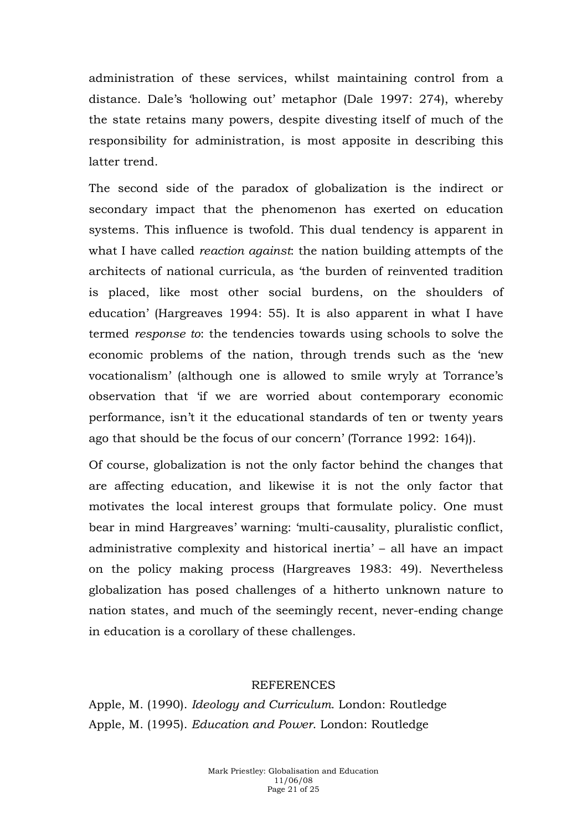administration of these services, whilst maintaining control from a distance. Dale's 'hollowing out' metaphor (Dale 1997: 274), whereby the state retains many powers, despite divesting itself of much of the responsibility for administration, is most apposite in describing this latter trend.

The second side of the paradox of globalization is the indirect or secondary impact that the phenomenon has exerted on education systems. This influence is twofold. This dual tendency is apparent in what I have called *reaction against*: the nation building attempts of the architects of national curricula, as 'the burden of reinvented tradition is placed, like most other social burdens, on the shoulders of education' (Hargreaves 1994: 55). It is also apparent in what I have termed *response to*: the tendencies towards using schools to solve the economic problems of the nation, through trends such as the 'new vocationalism' (although one is allowed to smile wryly at Torrance's observation that 'if we are worried about contemporary economic performance, isn't it the educational standards of ten or twenty years ago that should be the focus of our concern' (Torrance 1992: 164)).

Of course, globalization is not the only factor behind the changes that are affecting education, and likewise it is not the only factor that motivates the local interest groups that formulate policy. One must bear in mind Hargreaves' warning: 'multi-causality, pluralistic conflict, administrative complexity and historical inertia' – all have an impact on the policy making process (Hargreaves 1983: 49). Nevertheless globalization has posed challenges of a hitherto unknown nature to nation states, and much of the seemingly recent, never-ending change in education is a corollary of these challenges.

#### **REFERENCES**

Apple, M. (1990). *Ideology and Curriculum*. London: Routledge Apple, M. (1995). *Education and Power*. London: Routledge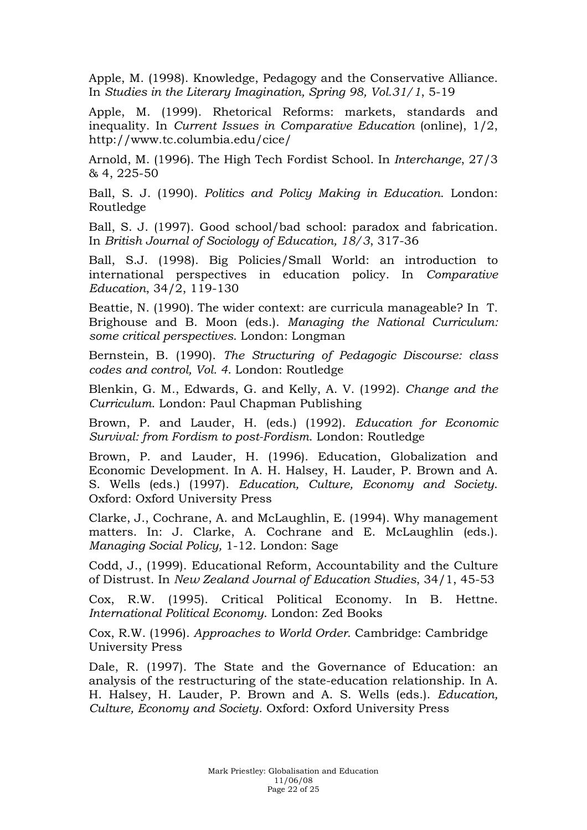Apple, M. (1998). Knowledge, Pedagogy and the Conservative Alliance. In *Studies in the Literary Imagination, Spring 98, Vol.31/1*, 5-19

Apple, M. (1999). Rhetorical Reforms: markets, standards and inequality. In *Current Issues in Comparative Education* (online), 1/2, http://www.tc.columbia.edu/cice/

Arnold, M. (1996). The High Tech Fordist School. In *Interchange*, 27/3 & 4, 225-50

Ball, S. J. (1990). *Politics and Policy Making in Education*. London: Routledge

Ball, S. J. (1997). Good school/bad school: paradox and fabrication. In *British Journal of Sociology of Education, 18/3*, 317-36

Ball, S.J. (1998). Big Policies/Small World: an introduction to international perspectives in education policy. In *Comparative Education*, 34/2, 119-130

Beattie, N. (1990). The wider context: are curricula manageable? In T. Brighouse and B. Moon (eds.). *Managing the National Curriculum: some critical perspectives*. London: Longman

Bernstein, B. (1990). *The Structuring of Pedagogic Discourse: class codes and control, Vol. 4*. London: Routledge

Blenkin, G. M., Edwards, G. and Kelly, A. V. (1992). *Change and the Curriculum*. London: Paul Chapman Publishing

Brown, P. and Lauder, H. (eds.) (1992). *Education for Economic Survival: from Fordism to post-Fordism*. London: Routledge

Brown, P. and Lauder, H. (1996). Education, Globalization and Economic Development. In A. H. Halsey, H. Lauder, P. Brown and A. S. Wells (eds.) (1997). *Education, Culture, Economy and Society*. Oxford: Oxford University Press

Clarke, J., Cochrane, A. and McLaughlin, E. (1994). Why management matters. In: J. Clarke, A. Cochrane and E. McLaughlin (eds.). *Managing Social Policy,* 1-12. London: Sage

Codd, J., (1999). Educational Reform, Accountability and the Culture of Distrust. In *New Zealand Journal of Education Studies*, 34/1, 45-53

Cox, R.W. (1995). Critical Political Economy. In B. Hettne. *International Political Economy*. London: Zed Books

Cox, R.W. (1996). *Approaches to World Order*. Cambridge: Cambridge University Press

Dale, R. (1997). The State and the Governance of Education: an analysis of the restructuring of the state-education relationship. In A. H. Halsey, H. Lauder, P. Brown and A. S. Wells (eds.). *Education, Culture, Economy and Society*. Oxford: Oxford University Press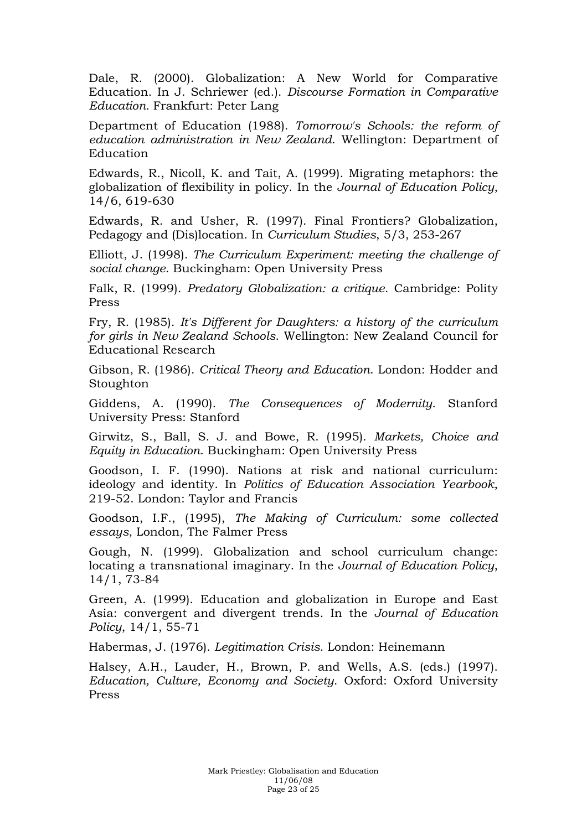Dale, R. (2000). Globalization: A New World for Comparative Education. In J. Schriewer (ed.). *Discourse Formation in Comparative Education.* Frankfurt: Peter Lang

Department of Education (1988). *Tomorrow's Schools: the reform of education administration in New Zealand*. Wellington: Department of Education

Edwards, R., Nicoll, K. and Tait, A. (1999). Migrating metaphors: the globalization of flexibility in policy. In the *Journal of Education Policy*, 14/6, 619-630

Edwards, R. and Usher, R. (1997). Final Frontiers? Globalization, Pedagogy and (Dis)location. In *Curriculum Studies*, 5/3, 253-267

Elliott, J. (1998). *The Curriculum Experiment: meeting the challenge of social change*. Buckingham: Open University Press

Falk, R. (1999). *Predatory Globalization: a critique*. Cambridge: Polity Press

Fry, R. (1985). *It's Different for Daughters: a history of the curriculum for girls in New Zealand Schools*. Wellington: New Zealand Council for Educational Research

Gibson, R. (1986). *Critical Theory and Education*. London: Hodder and Stoughton

Giddens, A. (1990). *The Consequences of Modernity*. Stanford University Press: Stanford

Girwitz, S., Ball, S. J. and Bowe, R. (1995). *Markets, Choice and Equity in Education*. Buckingham: Open University Press

Goodson, I. F. (1990). Nations at risk and national curriculum: ideology and identity. In *Politics of Education Association Yearbook*, 219-52. London: Taylor and Francis

Goodson, I.F., (1995), *The Making of Curriculum: some collected essays*, London, The Falmer Press

Gough, N. (1999). Globalization and school curriculum change: locating a transnational imaginary. In the *Journal of Education Policy*, 14/1, 73-84

Green, A. (1999). Education and globalization in Europe and East Asia: convergent and divergent trends. In the *Journal of Education Policy*, 14/1, 55-71

Habermas, J. (1976). *Legitimation Crisis*. London: Heinemann

Halsey, A.H., Lauder, H., Brown, P. and Wells, A.S. (eds.) (1997). *Education, Culture, Economy and Society*. Oxford: Oxford University Press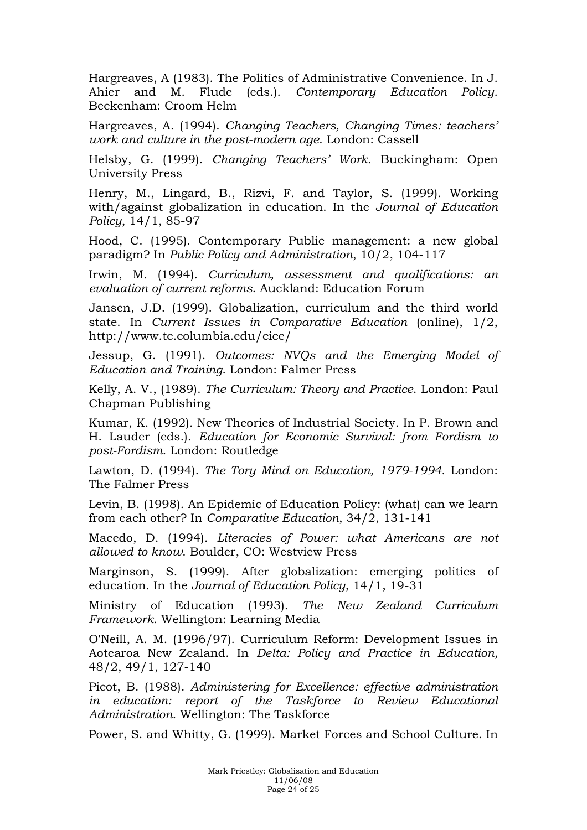Hargreaves, A (1983). The Politics of Administrative Convenience. In J. Ahier and M. Flude (eds.). *Contemporary Education Policy*. Beckenham: Croom Helm

Hargreaves, A. (1994). *Changing Teachers, Changing Times: teachers' work and culture in the post-modern age*. London: Cassell

Helsby, G. (1999). *Changing Teachers' Work*. Buckingham: Open University Press

Henry, M., Lingard, B., Rizvi, F. and Taylor, S. (1999). Working with/against globalization in education. In the *Journal of Education Policy*, 14/1, 85-97

Hood, C. (1995). Contemporary Public management: a new global paradigm? In *Public Policy and Administration*, 10/2, 104-117

Irwin, M. (1994). *Curriculum, assessment and qualifications: an evaluation of current reforms*. Auckland: Education Forum

Jansen, J.D. (1999). Globalization, curriculum and the third world state. In *Current Issues in Comparative Education* (online), 1/2, http://www.tc.columbia.edu/cice/

Jessup, G. (1991). *Outcomes: NVQs and the Emerging Model of Education and Training*. London: Falmer Press

Kelly, A. V., (1989). *The Curriculum: Theory and Practice*. London: Paul Chapman Publishing

Kumar, K. (1992). New Theories of Industrial Society. In P. Brown and H. Lauder (eds.). *Education for Economic Survival: from Fordism to post-Fordism*. London: Routledge

Lawton, D. (1994). *The Tory Mind on Education, 1979-1994*. London: The Falmer Press

Levin, B. (1998). An Epidemic of Education Policy: (what) can we learn from each other? In *Comparative Education*, 34/2, 131-141

Macedo, D. (1994). *Literacies of Power: what Americans are not allowed to know*. Boulder, CO: Westview Press

Marginson, S. (1999). After globalization: emerging politics of education. In the *Journal of Education Policy*, 14/1, 19-31

Ministry of Education (1993). *The New Zealand Curriculum Framework*. Wellington: Learning Media

O'Neill, A. M. (1996/97). Curriculum Reform: Development Issues in Aotearoa New Zealand. In *Delta: Policy and Practice in Education,*  48/2, 49/1, 127-140

Picot, B. (1988). *Administering for Excellence: effective administration in education: report of the Taskforce to Review Educational Administration*. Wellington: The Taskforce

Power, S. and Whitty, G. (1999). Market Forces and School Culture. In